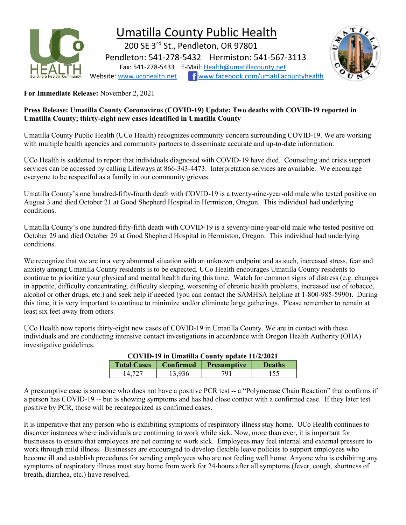

# Umatilla County Public Health

 200 SE 3rd St., Pendleton, OR 97801 Pendleton: 541-278-5432 Hermiston: 541-567-3113 Fax: 541-278-5433 E-Mail: Health@umatillacounty.net Website: www.ucohealth.net www.facebook.com/umatillacountyhealth



For Immediate Release: November 2, 2021

### Press Release: Umatilla County Coronavirus (COVID-19) Update: Two deaths with COVID-19 reported in Umatilla County; thirty-eight new cases identified in Umatilla County

Umatilla County Public Health (UCo Health) recognizes community concern surrounding COVID-19. We are working with multiple health agencies and community partners to disseminate accurate and up-to-date information.

UCo Health is saddened to report that individuals diagnosed with COVID-19 have died. Counseling and crisis support services can be accessed by calling Lifeways at 866-343-4473. Interpretation services are available. We encourage everyone to be respectful as a family in our community grieves.

Umatilla County's one hundred-fifty-fourth death with COVID-19 is a twenty-nine-year-old male who tested positive on August 3 and died October 21 at Good Shepherd Hospital in Hermiston, Oregon. This individual had underlying conditions.

Umatilla County's one hundred-fifty-fifth death with COVID-19 is a seventy-nine-year-old male who tested positive on October 29 and died October 29 at Good Shepherd Hospital in Hermiston, Oregon. This individual had underlying conditions.

We recognize that we are in a very abnormal situation with an unknown endpoint and as such, increased stress, fear and anxiety among Umatilla County residents is to be expected. UCo Health encourages Umatilla County residents to continue to prioritize your physical and mental health during this time. Watch for common signs of distress (e.g. changes in appetite, difficulty concentrating, difficulty sleeping, worsening of chronic health problems, increased use of tobacco, alcohol or other drugs, etc.) and seek help if needed (you can contact the SAMHSA helpline at 1-800-985-5990). During this time, it is very important to continue to minimize and/or eliminate large gatherings. Please remember to remain at least six feet away from others.

UCo Health now reports thirty-eight new cases of COVID-19 in Umatilla County. We are in contact with these individuals and are conducting intensive contact investigations in accordance with Oregon Health Authority (OHA) investigative guidelines.

| COVID-19 in Umatilla County update 11/2/2021 |        |                         |               |  |  |
|----------------------------------------------|--------|-------------------------|---------------|--|--|
| <b>Total Cases</b>                           |        | Confirmed   Presumptive | <b>Deaths</b> |  |  |
| 14.727                                       | 13,936 | 791                     | 155           |  |  |

#### COVID-19 in Umatilla County update 11/2/2021

A presumptive case is someone who does not have a positive PCR test -- a "Polymerase Chain Reaction" that confirms if a person has COVID-19 -- but is showing symptoms and has had close contact with a confirmed case. If they later test positive by PCR, those will be recategorized as confirmed cases.

It is imperative that any person who is exhibiting symptoms of respiratory illness stay home. UCo Health continues to discover instances where individuals are continuing to work while sick. Now, more than ever, it is important for businesses to ensure that employees are not coming to work sick. Employees may feel internal and external pressure to work through mild illness. Businesses are encouraged to develop flexible leave policies to support employees who become ill and establish procedures for sending employees who are not feeling well home. Anyone who is exhibiting any symptoms of respiratory illness must stay home from work for 24-hours after all symptoms (fever, cough, shortness of breath, diarrhea, etc.) have resolved.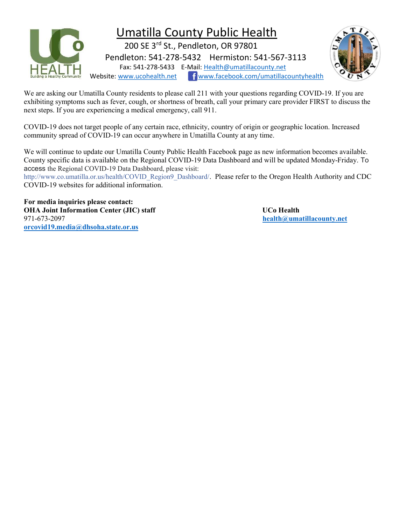

## Umatilla County Public Health

 200 SE 3rd St., Pendleton, OR 97801 Pendleton: 541-278-5432 Hermiston: 541-567-3113 Fax: 541-278-5433 E-Mail: Health@umatillacounty.net Website: www.ucohealth.net www.facebook.com/umatillacountyhealth



We are asking our Umatilla County residents to please call 211 with your questions regarding COVID-19. If you are exhibiting symptoms such as fever, cough, or shortness of breath, call your primary care provider FIRST to discuss the next steps. If you are experiencing a medical emergency, call 911.

COVID-19 does not target people of any certain race, ethnicity, country of origin or geographic location. Increased community spread of COVID-19 can occur anywhere in Umatilla County at any time.

We will continue to update our Umatilla County Public Health Facebook page as new information becomes available. County specific data is available on the Regional COVID-19 Data Dashboard and will be updated Monday-Friday. To access the Regional COVID-19 Data Dashboard, please visit:

http://www.co.umatilla.or.us/health/COVID\_Region9\_Dashboard/\_Please refer to the Oregon Health Authority and CDC COVID-19 websites for additional information.

For media inquiries please contact: OHA Joint Information Center (JIC) staff States and Dubble UCo Health 971-673-2097 health@umatillacounty.net orcovid19.media@dhsoha.state.or.us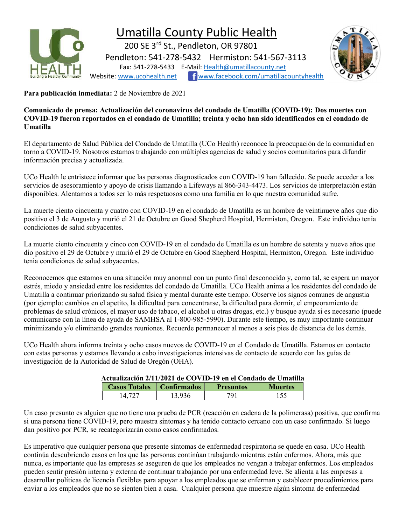

## Umatilla County Public Health

 200 SE 3rd St., Pendleton, OR 97801 Pendleton: 541-278-5432 Hermiston: 541-567-3113 Fax: 541-278-5433 E-Mail: Health@umatillacounty.net Website: www.ucohealth.net Fwww.facebook.com/umatillacountyhealth



Para publicación inmediata: 2 de Noviembre de 2021

Comunicado de prensa: Actualización del coronavirus del condado de Umatilla (COVID-19): Dos muertes con COVID-19 fueron reportados en el condado de Umatilla; treinta y ocho han sido identificados en el condado de Umatilla

El departamento de Salud Pública del Condado de Umatilla (UCo Health) reconoce la preocupación de la comunidad en torno a COVID-19. Nosotros estamos trabajando con múltiples agencias de salud y socios comunitarios para difundir información precisa y actualizada.

UCo Health le entristece informar que las personas diagnosticados con COVID-19 han fallecido. Se puede acceder a los servicios de asesoramiento y apoyo de crisis llamando a Lifeways al 866-343-4473. Los servicios de interpretación están disponibles. Alentamos a todos ser lo más respetuosos como una familia en lo que nuestra comunidad sufre.

La muerte ciento cincuenta y cuatro con COVID-19 en el condado de Umatilla es un hombre de veintinueve años que dio positivo el 3 de Augusto y murió el 21 de Octubre en Good Shepherd Hospital, Hermiston, Oregon. Este individuo tenia condiciones de salud subyacentes.

La muerte ciento cincuenta y cinco con COVID-19 en el condado de Umatilla es un hombre de setenta y nueve años que dio positivo el 29 de Octubre y murió el 29 de Octubre en Good Shepherd Hospital, Hermiston, Oregon. Este individuo tenia condiciones de salud subyacentes.

Reconocemos que estamos en una situación muy anormal con un punto final desconocido y, como tal, se espera un mayor estrés, miedo y ansiedad entre los residentes del condado de Umatilla. UCo Health anima a los residentes del condado de Umatilla a continuar priorizando su salud física y mental durante este tiempo. Observe los signos comunes de angustia (por ejemplo: cambios en el apetito, la dificultad para concentrarse, la dificultad para dormir, el empeoramiento de problemas de salud crónicos, el mayor uso de tabaco, el alcohol u otras drogas, etc.) y busque ayuda si es necesario (puede comunicarse con la línea de ayuda de SAMHSA al 1-800-985-5990). Durante este tiempo, es muy importante continuar minimizando y/o eliminando grandes reuniones. Recuerde permanecer al menos a seis pies de distancia de los demás.

UCo Health ahora informa treinta y ocho casos nuevos de COVID-19 en el Condado de Umatilla. Estamos en contacto con estas personas y estamos llevando a cabo investigaciones intensivas de contacto de acuerdo con las guías de investigación de la Autoridad de Salud de Oregón (OHA).

### Actualización 2/11/2021 de COVID-19 en el Condado de Umatilla

| <b>Casos Totales</b> | Confirmados | <b>Presuntos</b> | <b>Muertes</b> |
|----------------------|-------------|------------------|----------------|
|                      |             |                  |                |

Un caso presunto es alguien que no tiene una prueba de PCR (reacción en cadena de la polimerasa) positiva, que confirma si una persona tiene COVID-19, pero muestra síntomas y ha tenido contacto cercano con un caso confirmado. Si luego dan positivo por PCR, se recategorizarán como casos confirmados.

Es imperativo que cualquier persona que presente síntomas de enfermedad respiratoria se quede en casa. UCo Health continúa descubriendo casos en los que las personas continúan trabajando mientras están enfermos. Ahora, más que nunca, es importante que las empresas se aseguren de que los empleados no vengan a trabajar enfermos. Los empleados pueden sentir presión interna y externa de continuar trabajando por una enfermedad leve. Se alienta a las empresas a desarrollar políticas de licencia flexibles para apoyar a los empleados que se enferman y establecer procedimientos para enviar a los empleados que no se sienten bien a casa. Cualquier persona que muestre algún síntoma de enfermedad